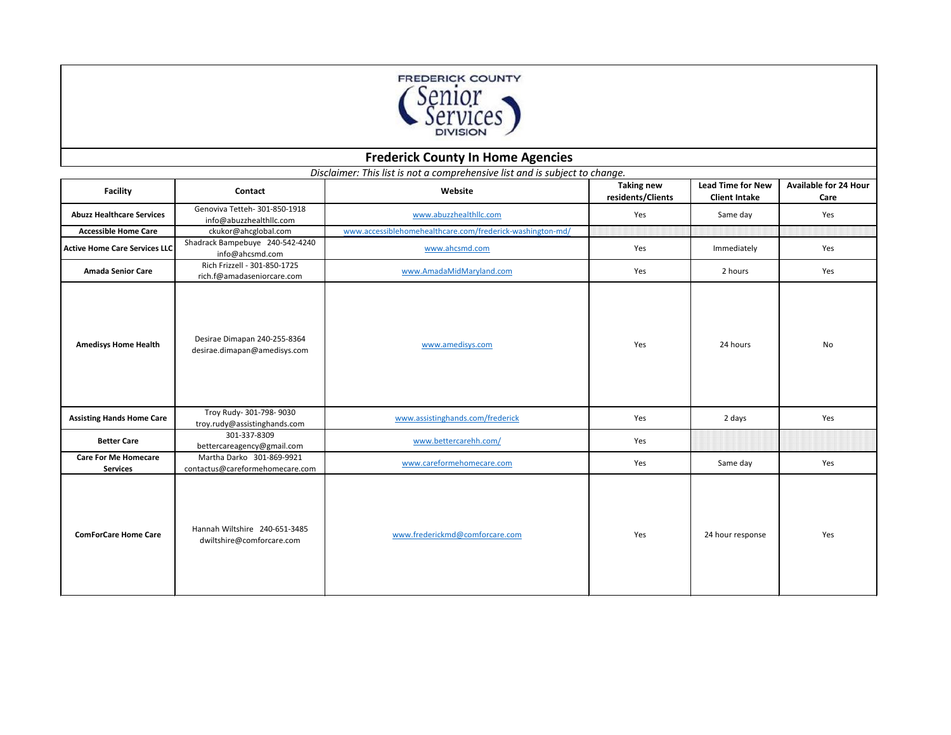## **FREDERICK COUNTY**

| Senior<br>Services<br><b>DIVISION</b>          |                                                              |                                                                                        |                                        |                                                  |                                      |
|------------------------------------------------|--------------------------------------------------------------|----------------------------------------------------------------------------------------|----------------------------------------|--------------------------------------------------|--------------------------------------|
|                                                |                                                              | <b>Frederick County In Home Agencies</b>                                               |                                        |                                                  |                                      |
| <b>Facility</b>                                | <b>Contact</b>                                               | Disclaimer: This list is not a comprehensive list and is subject to change.<br>Website | <b>Taking new</b><br>residents/Clients | <b>Lead Time for New</b><br><b>Client Intake</b> | <b>Available for 24 Hour</b><br>Care |
| <b>Abuzz Healthcare Services</b>               | Genoviva Tetteh- 301-850-1918<br>info@abuzzhealthllc.com     | www.abuzzhealthllc.com                                                                 | Yes                                    | Same day                                         | Yes                                  |
| <b>Accessible Home Care</b>                    | ckukor@ahcglobal.com                                         | www.accessiblehomehealthcare.com/frederick-washington-md/                              |                                        |                                                  |                                      |
| Active Home Care Services LLC                  | Shadrack Bampebuye 240-542-4240<br>info@ahcsmd.com           | www.ahcsmd.com                                                                         | Yes                                    | Immediately                                      | Yes                                  |
| <b>Amada Senior Care</b>                       | Rich Frizzell - 301-850-1725<br>rich.f@amadaseniorcare.com   | www.AmadaMidMaryland.com                                                               | Yes                                    | 2 hours                                          | Yes                                  |
| <b>Amedisys Home Health</b>                    | Desirae Dimapan 240-255-8364<br>desirae.dimapan@amedisys.com | www.amedisys.com                                                                       | Yes                                    | 24 hours                                         | No                                   |
| <b>Assisting Hands Home Care</b>               | Troy Rudy- 301-798- 9030<br>troy.rudy@assistinghands.com     | www.assistinghands.com/frederick                                                       | Yes                                    | 2 days                                           | Yes                                  |
| <b>Better Care</b>                             | 301-337-8309<br>bettercareagency@gmail.com                   | www.bettercarehh.com/                                                                  | Yes                                    |                                                  |                                      |
| <b>Care For Me Homecare</b><br><b>Services</b> | Martha Darko 301-869-9921<br>contactus@careformehomecare.com | www.careformehomecare.com                                                              | Yes                                    | Same day                                         | Yes                                  |
| <b>ComForCare Home Care</b>                    | Hannah Wiltshire 240-651-3485<br>dwiltshire@comforcare.com   | www.frederickmd@comforcare.com                                                         | Yes                                    | 24 hour response                                 | Yes                                  |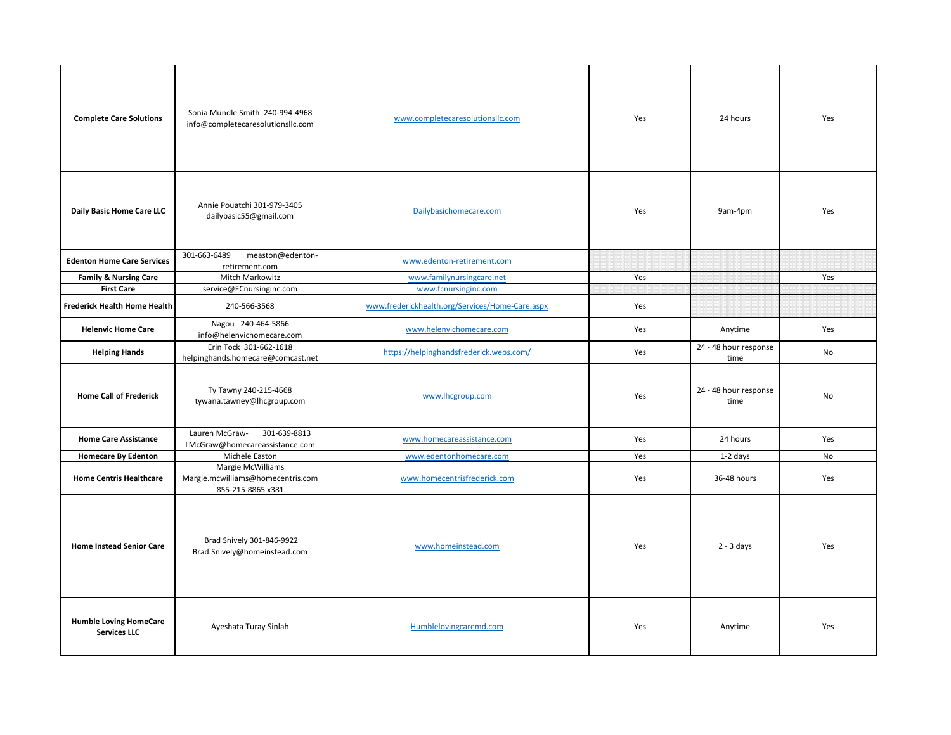| <b>Complete Care Solutions</b>                        | Sonia Mundle Smith 240-994-4968<br>info@completecaresolutionsllc.com        | www.completecaresolutionsllc.com                | Yes | 24 hours                      | Yes |
|-------------------------------------------------------|-----------------------------------------------------------------------------|-------------------------------------------------|-----|-------------------------------|-----|
| <b>Daily Basic Home Care LLC</b>                      | Annie Pouatchi 301-979-3405<br>dailybasic55@gmail.com                       | Dailybasichomecare.com                          | Yes | 9am-4pm                       | Yes |
| <b>Edenton Home Care Services</b>                     | 301-663-6489<br>measton@edenton-                                            | www.edenton-retirement.com                      |     |                               |     |
|                                                       | retirement.com<br>Mitch Markowitz                                           | www.familynursingcare.net                       | Yes |                               |     |
| <b>Family &amp; Nursing Care</b><br><b>First Care</b> |                                                                             | www.fcnursinginc.com                            |     |                               | Yes |
| <b>Frederick Health Home Health</b>                   | service@FCnursinginc.com<br>240-566-3568                                    | www.frederickhealth.org/Services/Home-Care.aspx | Yes |                               |     |
| <b>Helenvic Home Care</b>                             | Nagou 240-464-5866<br>info@helenvichomecare.com                             | www.helenvichomecare.com                        | Yes | Anytime                       | Yes |
| <b>Helping Hands</b>                                  | Erin Tock 301-662-1618<br>helpinghands.homecare@comcast.net                 | https://helpinghandsfrederick.webs.com/         | Yes | 24 - 48 hour response<br>time | No  |
| <b>Home Call of Frederick</b>                         | Ty Tawny 240-215-4668<br>tywana.tawney@lhcgroup.com                         | www.lhcgroup.com                                | Yes | 24 - 48 hour response<br>time | No  |
| <b>Home Care Assistance</b>                           | Lauren McGraw-<br>301-639-8813<br>LMcGraw@homecareassistance.com            | www.homecareassistance.com                      | Yes | 24 hours                      | Yes |
| <b>Homecare By Edenton</b>                            | Michele Easton                                                              | www.edentonhomecare.com                         | Yes | 1-2 days                      | No  |
| <b>Home Centris Healthcare</b>                        | Margie McWilliams<br>Margie.mcwilliams@homecentris.com<br>855-215-8865 x381 | www.homecentrisfrederick.com                    | Yes | 36-48 hours                   | Yes |
| <b>Home Instead Senior Care</b>                       | Brad Snively 301-846-9922<br>Brad.Snively@homeinstead.com                   | www.homeinstead.com                             | Yes | $2 - 3$ days                  | Yes |
| <b>Humble Loving HomeCare</b><br><b>Services LLC</b>  | Ayeshata Turay Sinlah                                                       | Humblelovingcaremd.com                          | Yes | Anytime                       | Yes |